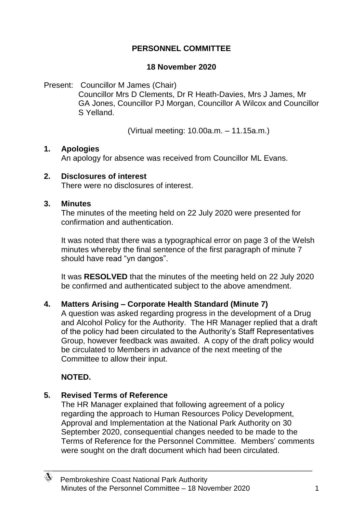## **PERSONNEL COMMITTEE**

### **18 November 2020**

Present: Councillor M James (Chair) Councillor Mrs D Clements, Dr R Heath-Davies, Mrs J James, Mr GA Jones, Councillor PJ Morgan, Councillor A Wilcox and Councillor S Yelland.

(Virtual meeting: 10.00a.m. – 11.15a.m.)

### **1. Apologies**

An apology for absence was received from Councillor ML Evans.

#### **2. Disclosures of interest**

There were no disclosures of interest.

#### **3. Minutes**

The minutes of the meeting held on 22 July 2020 were presented for confirmation and authentication.

It was noted that there was a typographical error on page 3 of the Welsh minutes whereby the final sentence of the first paragraph of minute 7 should have read "yn dangos".

It was **RESOLVED** that the minutes of the meeting held on 22 July 2020 be confirmed and authenticated subject to the above amendment.

### **4. Matters Arising – Corporate Health Standard (Minute 7)**

A question was asked regarding progress in the development of a Drug and Alcohol Policy for the Authority. The HR Manager replied that a draft of the policy had been circulated to the Authority's Staff Representatives Group, however feedback was awaited. A copy of the draft policy would be circulated to Members in advance of the next meeting of the Committee to allow their input.

### **NOTED.**

</del>

### **5. Revised Terms of Reference**

The HR Manager explained that following agreement of a policy regarding the approach to Human Resources Policy Development, Approval and Implementation at the National Park Authority on 30 September 2020, consequential changes needed to be made to the Terms of Reference for the Personnel Committee. Members' comments were sought on the draft document which had been circulated.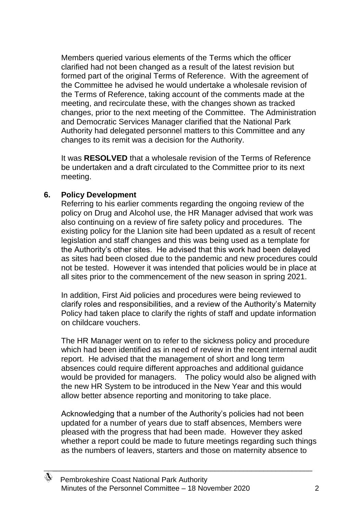Members queried various elements of the Terms which the officer clarified had not been changed as a result of the latest revision but formed part of the original Terms of Reference. With the agreement of the Committee he advised he would undertake a wholesale revision of the Terms of Reference, taking account of the comments made at the meeting, and recirculate these, with the changes shown as tracked changes, prior to the next meeting of the Committee. The Administration and Democratic Services Manager clarified that the National Park Authority had delegated personnel matters to this Committee and any changes to its remit was a decision for the Authority.

It was **RESOLVED** that a wholesale revision of the Terms of Reference be undertaken and a draft circulated to the Committee prior to its next meeting.

#### **6. Policy Development**

</del>

Referring to his earlier comments regarding the ongoing review of the policy on Drug and Alcohol use, the HR Manager advised that work was also continuing on a review of fire safety policy and procedures. The existing policy for the Llanion site had been updated as a result of recent legislation and staff changes and this was being used as a template for the Authority's other sites. He advised that this work had been delayed as sites had been closed due to the pandemic and new procedures could not be tested. However it was intended that policies would be in place at all sites prior to the commencement of the new season in spring 2021.

In addition, First Aid policies and procedures were being reviewed to clarify roles and responsibilities, and a review of the Authority's Maternity Policy had taken place to clarify the rights of staff and update information on childcare vouchers.

The HR Manager went on to refer to the sickness policy and procedure which had been identified as in need of review in the recent internal audit report. He advised that the management of short and long term absences could require different approaches and additional guidance would be provided for managers. The policy would also be aligned with the new HR System to be introduced in the New Year and this would allow better absence reporting and monitoring to take place.

Acknowledging that a number of the Authority's policies had not been updated for a number of years due to staff absences, Members were pleased with the progress that had been made. However they asked whether a report could be made to future meetings regarding such things as the numbers of leavers, starters and those on maternity absence to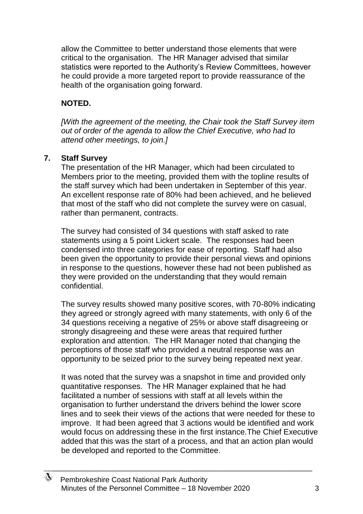allow the Committee to better understand those elements that were critical to the organisation. The HR Manager advised that similar statistics were reported to the Authority's Review Committees, however he could provide a more targeted report to provide reassurance of the health of the organisation going forward.

# **NOTED.**

*[With the agreement of the meeting, the Chair took the Staff Survey item out of order of the agenda to allow the Chief Executive, who had to attend other meetings, to join.]*

## **7. Staff Survey**

</del>

The presentation of the HR Manager, which had been circulated to Members prior to the meeting, provided them with the topline results of the staff survey which had been undertaken in September of this year. An excellent response rate of 80% had been achieved, and he believed that most of the staff who did not complete the survey were on casual, rather than permanent, contracts.

The survey had consisted of 34 questions with staff asked to rate statements using a 5 point Lickert scale. The responses had been condensed into three categories for ease of reporting. Staff had also been given the opportunity to provide their personal views and opinions in response to the questions, however these had not been published as they were provided on the understanding that they would remain confidential.

The survey results showed many positive scores, with 70-80% indicating they agreed or strongly agreed with many statements, with only 6 of the 34 questions receiving a negative of 25% or above staff disagreeing or strongly disagreeing and these were areas that required further exploration and attention. The HR Manager noted that changing the perceptions of those staff who provided a neutral response was an opportunity to be seized prior to the survey being repeated next year.

It was noted that the survey was a snapshot in time and provided only quantitative responses. The HR Manager explained that he had facilitated a number of sessions with staff at all levels within the organisation to further understand the drivers behind the lower score lines and to seek their views of the actions that were needed for these to improve. It had been agreed that 3 actions would be identified and work would focus on addressing these in the first instance.The Chief Executive added that this was the start of a process, and that an action plan would be developed and reported to the Committee.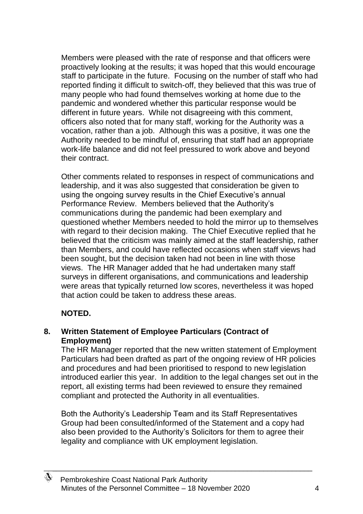Members were pleased with the rate of response and that officers were proactively looking at the results; it was hoped that this would encourage staff to participate in the future. Focusing on the number of staff who had reported finding it difficult to switch-off, they believed that this was true of many people who had found themselves working at home due to the pandemic and wondered whether this particular response would be different in future years. While not disagreeing with this comment, officers also noted that for many staff, working for the Authority was a vocation, rather than a job. Although this was a positive, it was one the Authority needed to be mindful of, ensuring that staff had an appropriate work-life balance and did not feel pressured to work above and beyond their contract.

Other comments related to responses in respect of communications and leadership, and it was also suggested that consideration be given to using the ongoing survey results in the Chief Executive's annual Performance Review. Members believed that the Authority's communications during the pandemic had been exemplary and questioned whether Members needed to hold the mirror up to themselves with regard to their decision making. The Chief Executive replied that he believed that the criticism was mainly aimed at the staff leadership, rather than Members, and could have reflected occasions when staff views had been sought, but the decision taken had not been in line with those views. The HR Manager added that he had undertaken many staff surveys in different organisations, and communications and leadership were areas that typically returned low scores, nevertheless it was hoped that action could be taken to address these areas.

### **NOTED.**

</del>

## **8. Written Statement of Employee Particulars (Contract of Employment)**

The HR Manager reported that the new written statement of Employment Particulars had been drafted as part of the ongoing review of HR policies and procedures and had been prioritised to respond to new legislation introduced earlier this year. In addition to the legal changes set out in the report, all existing terms had been reviewed to ensure they remained compliant and protected the Authority in all eventualities.

Both the Authority's Leadership Team and its Staff Representatives Group had been consulted/informed of the Statement and a copy had also been provided to the Authority's Solicitors for them to agree their legality and compliance with UK employment legislation.